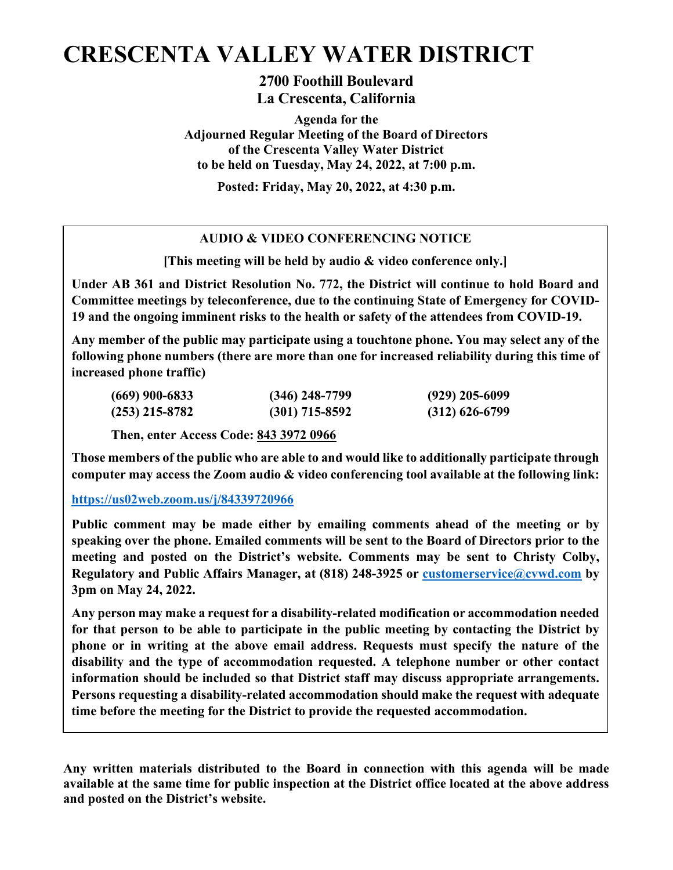# **CRESCENTA VALLEY WATER DISTRICT**

**2700 Foothill Boulevard La Crescenta, California**

**Agenda for the Adjourned Regular Meeting of the Board of Directors of the Crescenta Valley Water District to be held on Tuesday, May 24, 2022, at 7:00 p.m.** 

**Posted: Friday, May 20, 2022, at 4:30 p.m.** 

# **AUDIO & VIDEO CONFERENCING NOTICE**

**[This meeting will be held by audio & video conference only.]**

**Under AB 361 and District Resolution No. 772, the District will continue to hold Board and Committee meetings by teleconference, due to the continuing State of Emergency for COVID-19 and the ongoing imminent risks to the health or safety of the attendees from COVID-19.** 

**Any member of the public may participate using a touchtone phone. You may select any of the following phone numbers (there are more than one for increased reliability during this time of increased phone traffic)**

| $(669)$ 900-6833 | $(346)$ 248-7799 | $(929)$ 205-6099 |
|------------------|------------------|------------------|
| $(253)$ 215-8782 | $(301)$ 715-8592 | $(312)$ 626-6799 |

**Then, enter Access Code: 843 3972 0966** 

**Those members of the public who are able to and would like to additionally participate through computer may access the Zoom audio & video conferencing tool available at the following link:**

# **<https://us02web.zoom.us/j/84339720966>**

**Public comment may be made either by emailing comments ahead of the meeting or by speaking over the phone. Emailed comments will be sent to the Board of Directors prior to the meeting and posted on the District's website. Comments may be sent to Christy Colby, Regulatory and Public Affairs Manager, at (818) 248-3925 or [customerservice@cvwd.com](mailto:customerservice@cvwd.com) by 3pm on May 24, 2022.** 

**Any person may make a request for a disability-related modification or accommodation needed for that person to be able to participate in the public meeting by contacting the District by phone or in writing at the above email address. Requests must specify the nature of the disability and the type of accommodation requested. A telephone number or other contact information should be included so that District staff may discuss appropriate arrangements. Persons requesting a disability-related accommodation should make the request with adequate time before the meeting for the District to provide the requested accommodation.**

**Any written materials distributed to the Board in connection with this agenda will be made available at the same time for public inspection at the District office located at the above address and posted on the District's website.**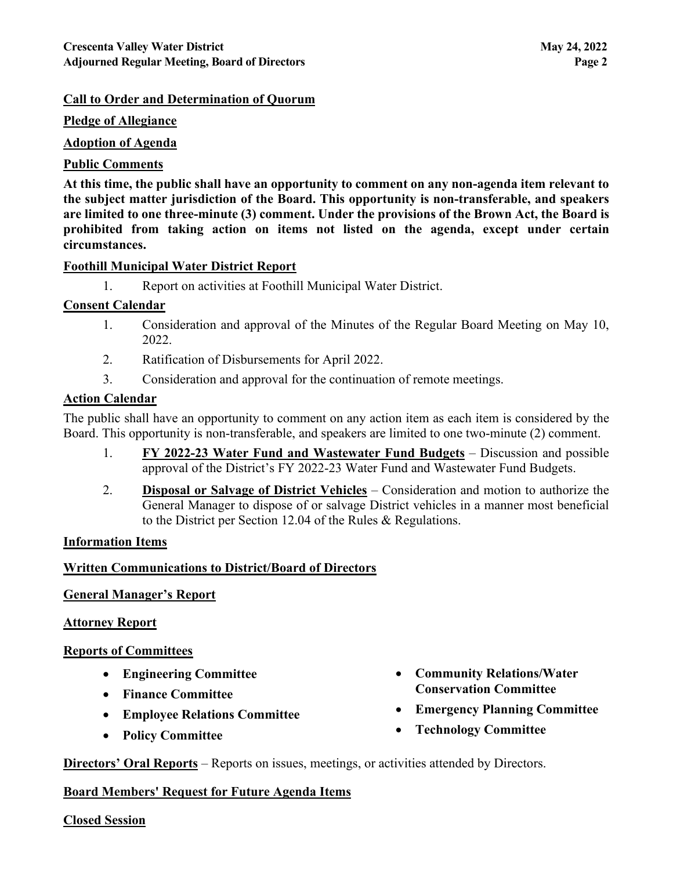#### **Call to Order and Determination of Quorum**

#### **Pledge of Allegiance**

#### **Adoption of Agenda**

#### **Public Comments**

**At this time, the public shall have an opportunity to comment on any non-agenda item relevant to the subject matter jurisdiction of the Board. This opportunity is non-transferable, and speakers are limited to one three-minute (3) comment. Under the provisions of the Brown Act, the Board is prohibited from taking action on items not listed on the agenda, except under certain circumstances.**

#### **Foothill Municipal Water District Report**

1. Report on activities at Foothill Municipal Water District.

#### **Consent Calendar**

- 1. Consideration and approval of the Minutes of the Regular Board Meeting on May 10, 2022.
- 2. Ratification of Disbursements for April 2022.
- 3. Consideration and approval for the continuation of remote meetings.

# **Action Calendar**

The public shall have an opportunity to comment on any action item as each item is considered by the Board. This opportunity is non-transferable, and speakers are limited to one two-minute (2) comment.

- 1. **FY 2022-23 Water Fund and Wastewater Fund Budgets** Discussion and possible approval of the District's FY 2022-23 Water Fund and Wastewater Fund Budgets.
- 2. **Disposal or Salvage of District Vehicles** Consideration and motion to authorize the General Manager to dispose of or salvage District vehicles in a manner most beneficial to the District per Section 12.04 of the Rules & Regulations.

#### **Information Items**

# **Written Communications to District/Board of Directors**

# **General Manager's Report**

#### **Attorney Report**

# **Reports of Committees**

- **Engineering Committee**
- **Finance Committee**
- **Employee Relations Committee**
- **Policy Committee**
- **Community Relations/Water Conservation Committee**
- **Emergency Planning Committee**
- **Technology Committee**

**Directors' Oral Reports** – Reports on issues, meetings, or activities attended by Directors.

#### **Board Members' Request for Future Agenda Items**

#### **Closed Session**